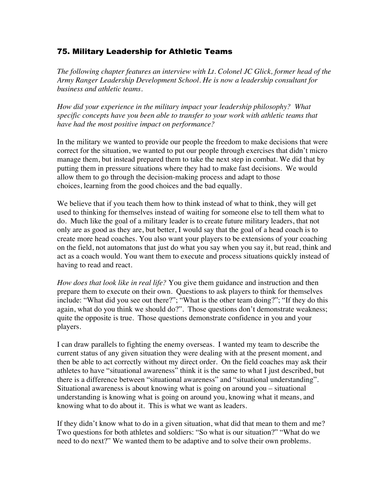## 75. Military Leadership for Athletic Teams

*The following chapter features an interview with Lt. Colonel JC Glick, former head of the Army Ranger Leadership Development School. He is now a leadership consultant for business and athletic teams.*

*How did your experience in the military impact your leadership philosophy? What specific concepts have you been able to transfer to your work with athletic teams that have had the most positive impact on performance?*

In the military we wanted to provide our people the freedom to make decisions that were correct for the situation, we wanted to put our people through exercises that didn't micro manage them, but instead prepared them to take the next step in combat. We did that by putting them in pressure situations where they had to make fast decisions. We would allow them to go through the decision-making process and adapt to those choices, learning from the good choices and the bad equally.

We believe that if you teach them how to think instead of what to think, they will get used to thinking for themselves instead of waiting for someone else to tell them what to do. Much like the goal of a military leader is to create future military leaders, that not only are as good as they are, but better, I would say that the goal of a head coach is to create more head coaches. You also want your players to be extensions of your coaching on the field, not automatons that just do what you say when you say it, but read, think and act as a coach would. You want them to execute and process situations quickly instead of having to read and react.

*How does that look like in real life?* You give them guidance and instruction and then prepare them to execute on their own. Questions to ask players to think for themselves include: "What did you see out there?"; "What is the other team doing?"; "If they do this again, what do you think we should do?". Those questions don't demonstrate weakness; quite the opposite is true. Those questions demonstrate confidence in you and your players.

I can draw parallels to fighting the enemy overseas. I wanted my team to describe the current status of any given situation they were dealing with at the present moment, and then be able to act correctly without my direct order. On the field coaches may ask their athletes to have "situational awareness" think it is the same to what I just described, but there is a difference between "situational awareness" and "situational understanding". Situational awareness is about knowing what is going on around you – situational understanding is knowing what is going on around you, knowing what it means, and knowing what to do about it. This is what we want as leaders.

If they didn't know what to do in a given situation, what did that mean to them and me? Two questions for both athletes and soldiers: "So what is our situation?" "What do we need to do next?" We wanted them to be adaptive and to solve their own problems.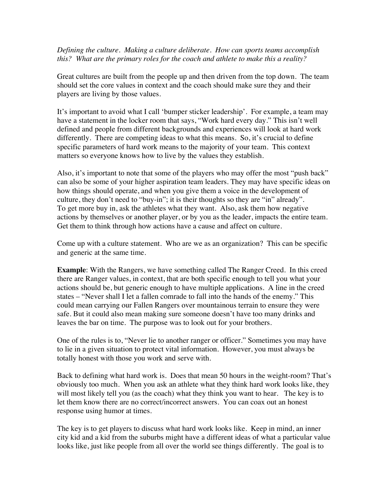*Defining the culture. Making a culture deliberate. How can sports teams accomplish this? What are the primary roles for the coach and athlete to make this a reality?*

Great cultures are built from the people up and then driven from the top down. The team should set the core values in context and the coach should make sure they and their players are living by those values.

It's important to avoid what I call 'bumper sticker leadership'. For example, a team may have a statement in the locker room that says, "Work hard every day." This isn't well defined and people from different backgrounds and experiences will look at hard work differently. There are competing ideas to what this means. So, it's crucial to define specific parameters of hard work means to the majority of your team. This context matters so everyone knows how to live by the values they establish.

Also, it's important to note that some of the players who may offer the most "push back" can also be some of your higher aspiration team leaders. They may have specific ideas on how things should operate, and when you give them a voice in the development of culture, they don't need to "buy-in"; it is their thoughts so they are "in" already". To get more buy in, ask the athletes what they want. Also, ask them how negative actions by themselves or another player, or by you as the leader, impacts the entire team. Get them to think through how actions have a cause and affect on culture.

Come up with a culture statement. Who are we as an organization? This can be specific and generic at the same time.

**Example**: With the Rangers, we have something called The Ranger Creed. In this creed there are Ranger values, in context, that are both specific enough to tell you what your actions should be, but generic enough to have multiple applications. A line in the creed states – "Never shall I let a fallen comrade to fall into the hands of the enemy." This could mean carrying our Fallen Rangers over mountainous terrain to ensure they were safe. But it could also mean making sure someone doesn't have too many drinks and leaves the bar on time. The purpose was to look out for your brothers.

One of the rules is to, "Never lie to another ranger or officer." Sometimes you may have to lie in a given situation to protect vital information. However, you must always be totally honest with those you work and serve with.

Back to defining what hard work is. Does that mean 50 hours in the weight-room? That's obviously too much. When you ask an athlete what they think hard work looks like, they will most likely tell you (as the coach) what they think you want to hear. The key is to let them know there are no correct/incorrect answers. You can coax out an honest response using humor at times.

The key is to get players to discuss what hard work looks like. Keep in mind, an inner city kid and a kid from the suburbs might have a different ideas of what a particular value looks like, just like people from all over the world see things differently. The goal is to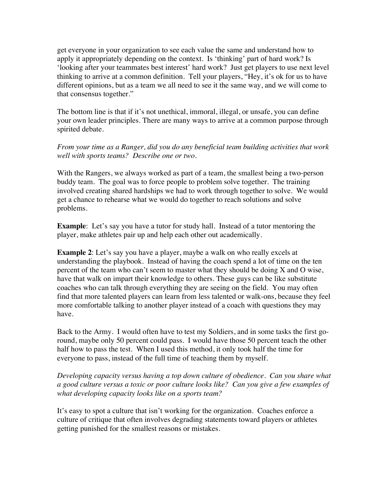get everyone in your organization to see each value the same and understand how to apply it appropriately depending on the context. Is 'thinking' part of hard work? Is 'looking after your teammates best interest' hard work? Just get players to use next level thinking to arrive at a common definition. Tell your players, "Hey, it's ok for us to have different opinions, but as a team we all need to see it the same way, and we will come to that consensus together."

The bottom line is that if it's not unethical, immoral, illegal, or unsafe, you can define your own leader principles. There are many ways to arrive at a common purpose through spirited debate.

*From your time as a Ranger, did you do any beneficial team building activities that work well with sports teams? Describe one or two.*

With the Rangers, we always worked as part of a team, the smallest being a two-person buddy team. The goal was to force people to problem solve together. The training involved creating shared hardships we had to work through together to solve. We would get a chance to rehearse what we would do together to reach solutions and solve problems.

**Example**: Let's say you have a tutor for study hall. Instead of a tutor mentoring the player, make athletes pair up and help each other out academically.

**Example 2**: Let's say you have a player, maybe a walk on who really excels at understanding the playbook. Instead of having the coach spend a lot of time on the ten percent of the team who can't seem to master what they should be doing X and O wise, have that walk on impart their knowledge to others. These guys can be like substitute coaches who can talk through everything they are seeing on the field. You may often find that more talented players can learn from less talented or walk-ons, because they feel more comfortable talking to another player instead of a coach with questions they may have.

Back to the Army. I would often have to test my Soldiers, and in some tasks the first goround, maybe only 50 percent could pass. I would have those 50 percent teach the other half how to pass the test. When I used this method, it only took half the time for everyone to pass, instead of the full time of teaching them by myself.

*Developing capacity versus having a top down culture of obedience. Can you share what a good culture versus a toxic or poor culture looks like? Can you give a few examples of what developing capacity looks like on a sports team?*

It's easy to spot a culture that isn't working for the organization. Coaches enforce a culture of critique that often involves degrading statements toward players or athletes getting punished for the smallest reasons or mistakes.